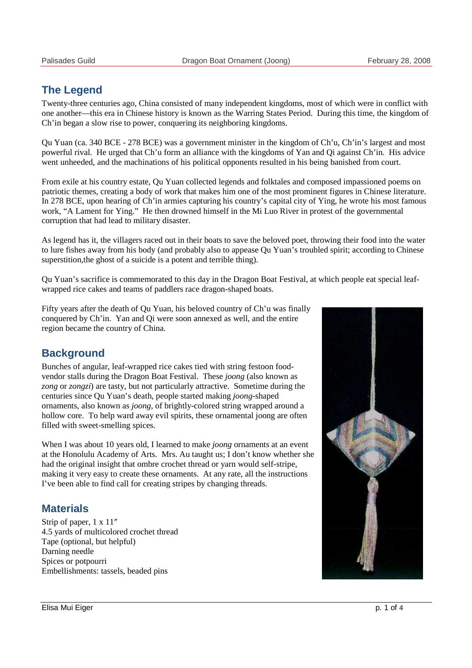# **The Legend**

Twenty-three centuries ago, China consisted of many independent kingdoms, most of which were in conflict with one another—this era in Chinese history is known as the Warring States Period. During this time, the kingdom of Ch'in began a slow rise to power, conquering its neighboring kingdoms.

Qu Yuan (ca. 340 BCE - 278 BCE) was a government minister in the kingdom of Ch'u, Ch'in's largest and most powerful rival. He urged that Ch'u form an alliance with the kingdoms of Yan and Qi against Ch'in. His advice went unheeded, and the machinations of his political opponents resulted in his being banished from court.

From exile at his country estate, Qu Yuan collected legends and folktales and composed impassioned poems on patriotic themes, creating a body of work that makes him one of the most prominent figures in Chinese literature. In 278 BCE, upon hearing of Ch'in armies capturing his country's capital city of Ying, he wrote his most famous work, "A Lament for Ying." He then drowned himself in the Mi Luo River in protest of the governmental corruption that had lead to military disaster.

As legend has it, the villagers raced out in their boats to save the beloved poet, throwing their food into the water to lure fishes away from his body (and probably also to appease Qu Yuan's troubled spirit; according to Chinese superstition,the ghost of a suicide is a potent and terrible thing).

Qu Yuan's sacrifice is commemorated to this day in the Dragon Boat Festival, at which people eat special leafwrapped rice cakes and teams of paddlers race dragon-shaped boats.

Fifty years after the death of Qu Yuan, his beloved country of Ch'u was finally conquered by Ch'in. Yan and Qi were soon annexed as well, and the entire region became the country of China.

## **Background**

Bunches of angular, leaf-wrapped rice cakes tied with string festoon foodvendor stalls during the Dragon Boat Festival. These *joong* (also known as *zong* or *zongzi*) are tasty, but not particularly attractive. Sometime during the centuries since Qu Yuan's death, people started making *joong*-shaped ornaments, also known as *joong*, of brightly-colored string wrapped around a hollow core. To help ward away evil spirits, these ornamental joong are often filled with sweet-smelling spices.

When I was about 10 years old, I learned to make *joong* ornaments at an event at the Honolulu Academy of Arts. Mrs. Au taught us; I don't know whether she had the original insight that ombre crochet thread or yarn would self-stripe, making it very easy to create these ornaments. At any rate, all the instructions I've been able to find call for creating stripes by changing threads.

### **Materials**

Strip of paper, 1 x 11″ 4.5 yards of multicolored crochet thread Tape (optional, but helpful) Darning needle Spices or potpourri Embellishments: tassels, beaded pins

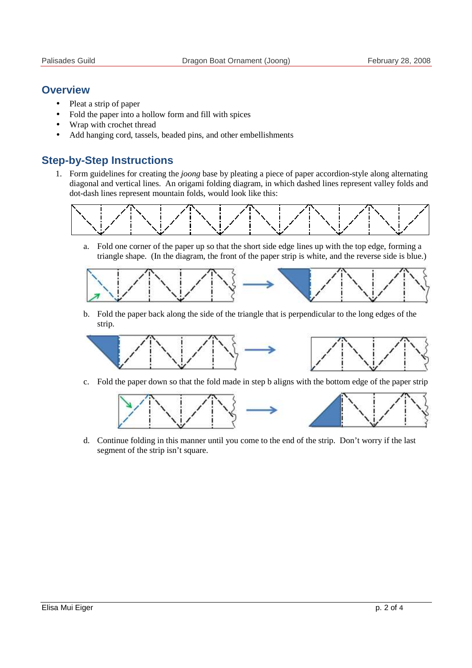#### **Overview**

- Pleat a strip of paper
- Fold the paper into a hollow form and fill with spices
- Wrap with crochet thread
- Add hanging cord, tassels, beaded pins, and other embellishments

## **Step-by-Step Instructions**

1. Form guidelines for creating the *joong* base by pleating a piece of paper accordion-style along alternating diagonal and vertical lines. An origami folding diagram, in which dashed lines represent valley folds and dot-dash lines represent mountain folds, would look like this:



a. Fold one corner of the paper up so that the short side edge lines up with the top edge, forming a triangle shape. (In the diagram, the front of the paper strip is white, and the reverse side is blue.)



b. Fold the paper back along the side of the triangle that is perpendicular to the long edges of the strip.



c. Fold the paper down so that the fold made in step b aligns with the bottom edge of the paper strip



d. Continue folding in this manner until you come to the end of the strip. Don't worry if the last segment of the strip isn't square.